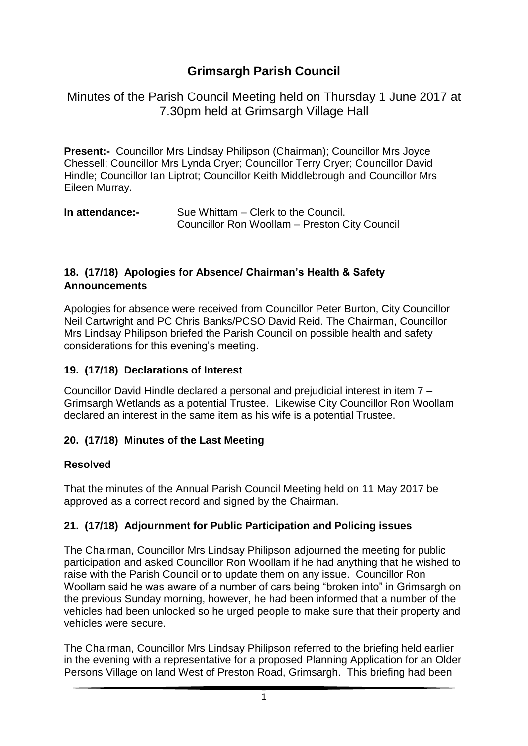# **Grimsargh Parish Council**

Minutes of the Parish Council Meeting held on Thursday 1 June 2017 at 7.30pm held at Grimsargh Village Hall

**Present:-** Councillor Mrs Lindsay Philipson (Chairman); Councillor Mrs Joyce Chessell; Councillor Mrs Lynda Cryer; Councillor Terry Cryer; Councillor David Hindle; Councillor Ian Liptrot; Councillor Keith Middlebrough and Councillor Mrs Eileen Murray.

| In attendance:- | Sue Whittam – Clerk to the Council.           |
|-----------------|-----------------------------------------------|
|                 | Councillor Ron Woollam – Preston City Council |

### **18. (17/18) Apologies for Absence/ Chairman's Health & Safety Announcements**

Apologies for absence were received from Councillor Peter Burton, City Councillor Neil Cartwright and PC Chris Banks/PCSO David Reid. The Chairman, Councillor Mrs Lindsay Philipson briefed the Parish Council on possible health and safety considerations for this evening's meeting.

#### **19. (17/18) Declarations of Interest**

Councillor David Hindle declared a personal and prejudicial interest in item 7 – Grimsargh Wetlands as a potential Trustee. Likewise City Councillor Ron Woollam declared an interest in the same item as his wife is a potential Trustee.

### **20. (17/18) Minutes of the Last Meeting**

#### **Resolved**

That the minutes of the Annual Parish Council Meeting held on 11 May 2017 be approved as a correct record and signed by the Chairman.

### **21. (17/18) Adjournment for Public Participation and Policing issues**

The Chairman, Councillor Mrs Lindsay Philipson adjourned the meeting for public participation and asked Councillor Ron Woollam if he had anything that he wished to raise with the Parish Council or to update them on any issue. Councillor Ron Woollam said he was aware of a number of cars being "broken into" in Grimsargh on the previous Sunday morning, however, he had been informed that a number of the vehicles had been unlocked so he urged people to make sure that their property and vehicles were secure.

The Chairman, Councillor Mrs Lindsay Philipson referred to the briefing held earlier in the evening with a representative for a proposed Planning Application for an Older Persons Village on land West of Preston Road, Grimsargh. This briefing had been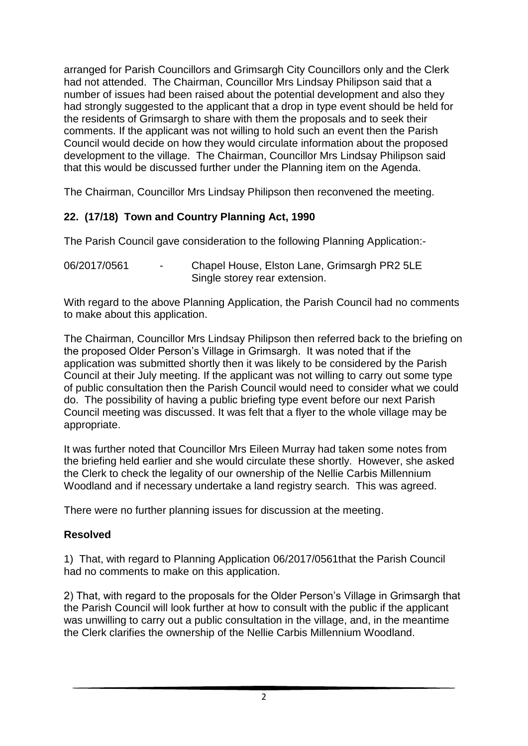arranged for Parish Councillors and Grimsargh City Councillors only and the Clerk had not attended. The Chairman, Councillor Mrs Lindsay Philipson said that a number of issues had been raised about the potential development and also they had strongly suggested to the applicant that a drop in type event should be held for the residents of Grimsargh to share with them the proposals and to seek their comments. If the applicant was not willing to hold such an event then the Parish Council would decide on how they would circulate information about the proposed development to the village. The Chairman, Councillor Mrs Lindsay Philipson said that this would be discussed further under the Planning item on the Agenda.

The Chairman, Councillor Mrs Lindsay Philipson then reconvened the meeting.

# **22. (17/18) Town and Country Planning Act, 1990**

The Parish Council gave consideration to the following Planning Application:-

06/2017/0561 - Chapel House, Elston Lane, Grimsargh PR2 5LE Single storey rear extension.

With regard to the above Planning Application, the Parish Council had no comments to make about this application.

The Chairman, Councillor Mrs Lindsay Philipson then referred back to the briefing on the proposed Older Person's Village in Grimsargh. It was noted that if the application was submitted shortly then it was likely to be considered by the Parish Council at their July meeting. If the applicant was not willing to carry out some type of public consultation then the Parish Council would need to consider what we could do. The possibility of having a public briefing type event before our next Parish Council meeting was discussed. It was felt that a flyer to the whole village may be appropriate.

It was further noted that Councillor Mrs Eileen Murray had taken some notes from the briefing held earlier and she would circulate these shortly. However, she asked the Clerk to check the legality of our ownership of the Nellie Carbis Millennium Woodland and if necessary undertake a land registry search. This was agreed.

There were no further planning issues for discussion at the meeting.

### **Resolved**

1) That, with regard to Planning Application 06/2017/0561that the Parish Council had no comments to make on this application.

2) That, with regard to the proposals for the Older Person's Village in Grimsargh that the Parish Council will look further at how to consult with the public if the applicant was unwilling to carry out a public consultation in the village, and, in the meantime the Clerk clarifies the ownership of the Nellie Carbis Millennium Woodland.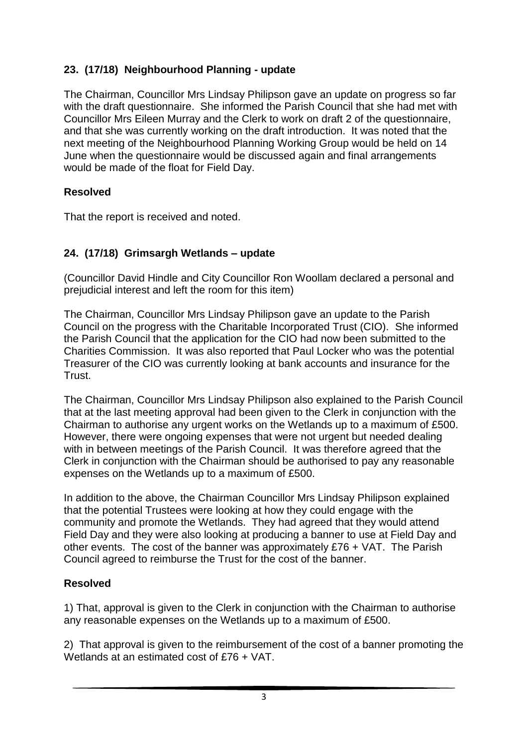# **23. (17/18) Neighbourhood Planning - update**

The Chairman, Councillor Mrs Lindsay Philipson gave an update on progress so far with the draft questionnaire. She informed the Parish Council that she had met with Councillor Mrs Eileen Murray and the Clerk to work on draft 2 of the questionnaire, and that she was currently working on the draft introduction. It was noted that the next meeting of the Neighbourhood Planning Working Group would be held on 14 June when the questionnaire would be discussed again and final arrangements would be made of the float for Field Day.

# **Resolved**

That the report is received and noted.

# **24. (17/18) Grimsargh Wetlands – update**

(Councillor David Hindle and City Councillor Ron Woollam declared a personal and prejudicial interest and left the room for this item)

The Chairman, Councillor Mrs Lindsay Philipson gave an update to the Parish Council on the progress with the Charitable Incorporated Trust (CIO). She informed the Parish Council that the application for the CIO had now been submitted to the Charities Commission. It was also reported that Paul Locker who was the potential Treasurer of the CIO was currently looking at bank accounts and insurance for the Trust.

The Chairman, Councillor Mrs Lindsay Philipson also explained to the Parish Council that at the last meeting approval had been given to the Clerk in conjunction with the Chairman to authorise any urgent works on the Wetlands up to a maximum of £500. However, there were ongoing expenses that were not urgent but needed dealing with in between meetings of the Parish Council. It was therefore agreed that the Clerk in conjunction with the Chairman should be authorised to pay any reasonable expenses on the Wetlands up to a maximum of £500.

In addition to the above, the Chairman Councillor Mrs Lindsay Philipson explained that the potential Trustees were looking at how they could engage with the community and promote the Wetlands. They had agreed that they would attend Field Day and they were also looking at producing a banner to use at Field Day and other events. The cost of the banner was approximately £76 + VAT. The Parish Council agreed to reimburse the Trust for the cost of the banner.

# **Resolved**

1) That, approval is given to the Clerk in conjunction with the Chairman to authorise any reasonable expenses on the Wetlands up to a maximum of £500.

2) That approval is given to the reimbursement of the cost of a banner promoting the Wetlands at an estimated cost of £76 + VAT.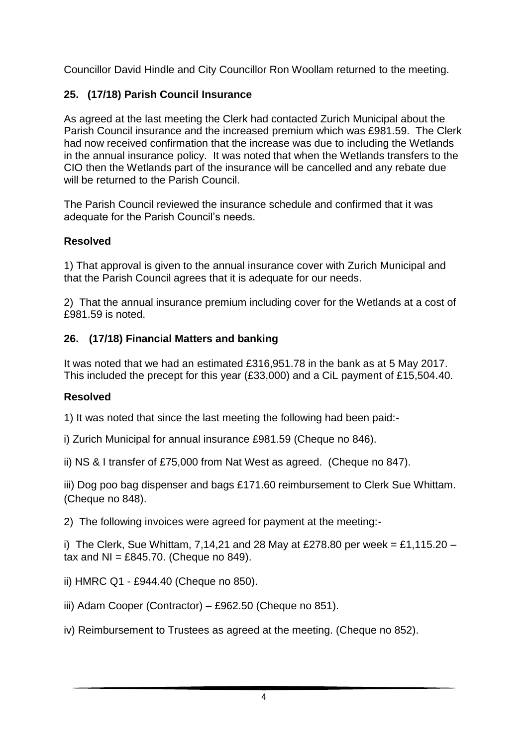Councillor David Hindle and City Councillor Ron Woollam returned to the meeting.

# **25. (17/18) Parish Council Insurance**

As agreed at the last meeting the Clerk had contacted Zurich Municipal about the Parish Council insurance and the increased premium which was £981.59. The Clerk had now received confirmation that the increase was due to including the Wetlands in the annual insurance policy. It was noted that when the Wetlands transfers to the CIO then the Wetlands part of the insurance will be cancelled and any rebate due will be returned to the Parish Council

The Parish Council reviewed the insurance schedule and confirmed that it was adequate for the Parish Council's needs.

# **Resolved**

1) That approval is given to the annual insurance cover with Zurich Municipal and that the Parish Council agrees that it is adequate for our needs.

2) That the annual insurance premium including cover for the Wetlands at a cost of £981.59 is noted.

## **26. (17/18) Financial Matters and banking**

It was noted that we had an estimated £316,951.78 in the bank as at 5 May 2017. This included the precept for this year (£33,000) and a CiL payment of £15,504.40.

# **Resolved**

1) It was noted that since the last meeting the following had been paid:-

i) Zurich Municipal for annual insurance £981.59 (Cheque no 846).

ii) NS & I transfer of £75,000 from Nat West as agreed. (Cheque no 847).

iii) Dog poo bag dispenser and bags £171.60 reimbursement to Clerk Sue Whittam. (Cheque no 848).

2) The following invoices were agreed for payment at the meeting:-

i) The Clerk, Sue Whittam, 7,14,21 and 28 May at £278.80 per week = £1,115.20  $$ tax and  $NI = £845.70$ . (Cheque no 849).

ii) HMRC Q1 - £944.40 (Cheque no 850).

iii) Adam Cooper (Contractor) – £962.50 (Cheque no 851).

iv) Reimbursement to Trustees as agreed at the meeting. (Cheque no 852).